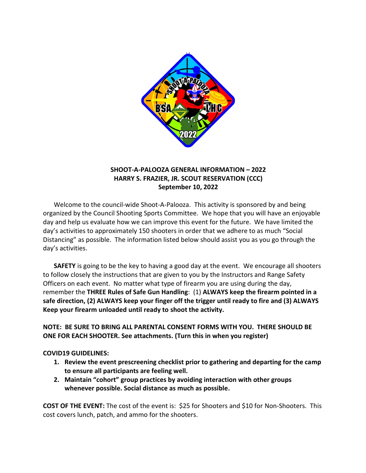

# **SHOOT-A-PALOOZA GENERAL INFORMATION – 2022 HARRY S. FRAZIER, JR. SCOUT RESERVATION (CCC) September 10, 2022**

Welcome to the council-wide Shoot-A-Palooza. This activity is sponsored by and being organized by the Council Shooting Sports Committee. We hope that you will have an enjoyable day and help us evaluate how we can improve this event for the future. We have limited the day's activities to approximately 150 shooters in order that we adhere to as much "Social Distancing" as possible. The information listed below should assist you as you go through the day's activities.

**SAFETY** is going to be the key to having a good day at the event. We encourage all shooters to follow closely the instructions that are given to you by the Instructors and Range Safety Officers on each event. No matter what type of firearm you are using during the day, remember the **THREE Rules of Safe Gun Handling**: (1) **ALWAYS keep the firearm pointed in a safe direction, (2) ALWAYS keep your finger off the trigger until ready to fire and (3) ALWAYS Keep your firearm unloaded until ready to shoot the activity.**

**NOTE: BE SURE TO BRING ALL PARENTAL CONSENT FORMS WITH YOU. THERE SHOULD BE ONE FOR EACH SHOOTER. See attachments. (Turn this in when you register)**

## **COVID19 GUIDELINES:**

- **1. Review the event prescreening checklist prior to gathering and departing for the camp to ensure all participants are feeling well.**
- **2. Maintain "cohort" group practices by avoiding interaction with other groups whenever possible. Social distance as much as possible.**

**COST OF THE EVENT:** The cost of the event is: \$25 for Shooters and \$10 for Non-Shooters. This cost covers lunch, patch, and ammo for the shooters.